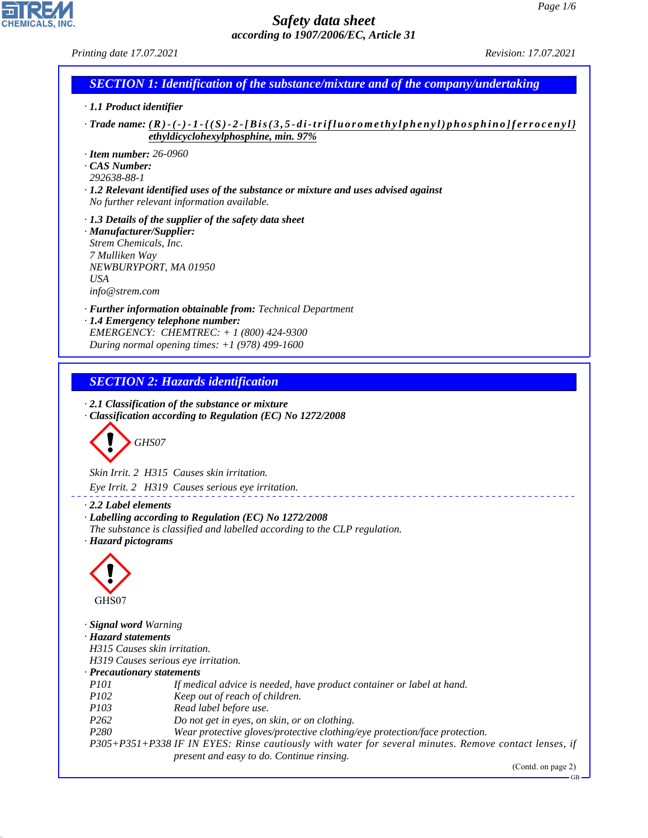# CHEMICALS, INC.

44.1.1

## *Safety data sheet according to 1907/2006/EC, Article 31*

| Printing date 17.07.2021                                                                                                                                  |                                                                                                                                                                                                                                                                                                                                                                                                                                                              | Revision: 17.07.2021 |
|-----------------------------------------------------------------------------------------------------------------------------------------------------------|--------------------------------------------------------------------------------------------------------------------------------------------------------------------------------------------------------------------------------------------------------------------------------------------------------------------------------------------------------------------------------------------------------------------------------------------------------------|----------------------|
|                                                                                                                                                           | <b>SECTION 1: Identification of the substance/mixture and of the company/undertaking</b>                                                                                                                                                                                                                                                                                                                                                                     |                      |
| · 1.1 Product identifier                                                                                                                                  |                                                                                                                                                                                                                                                                                                                                                                                                                                                              |                      |
|                                                                                                                                                           | · Trade name: $(R)$ - $(-)$ - $I$ - $\{(S)$ - $2$ - $[Bis(3,5-di-trifluorometrylyphenyl)phosphino]$ ferrocenyl}<br>ethyldicyclohexylphosphine, min. 97%                                                                                                                                                                                                                                                                                                      |                      |
| $\cdot$ Item number: 26-0960<br>$\cdot$ CAS Number:<br>292638-88-1                                                                                        | $\cdot$ 1.2 Relevant identified uses of the substance or mixture and uses advised against<br>No further relevant information available.                                                                                                                                                                                                                                                                                                                      |                      |
| · Manufacturer/Supplier:<br>Strem Chemicals, Inc.<br>7 Mulliken Way<br>USA<br>info@stream.com                                                             | $\cdot$ 1.3 Details of the supplier of the safety data sheet<br>NEWBURYPORT, MA 01950                                                                                                                                                                                                                                                                                                                                                                        |                      |
|                                                                                                                                                           | · Further information obtainable from: Technical Department<br>· 1.4 Emergency telephone number:<br>EMERGENCY: CHEMTREC: $+ 1 (800) 424 - 9300$<br>During normal opening times: $+1$ (978) 499-1600                                                                                                                                                                                                                                                          |                      |
|                                                                                                                                                           | <b>SECTION 2: Hazards identification</b>                                                                                                                                                                                                                                                                                                                                                                                                                     |                      |
| GHS07                                                                                                                                                     | $\cdot$ 2.1 Classification of the substance or mixture<br>Classification according to Regulation (EC) No 1272/2008<br>Skin Irrit. 2 H315 Causes skin irritation.<br>Eye Irrit. 2 H319 Causes serious eye irritation.                                                                                                                                                                                                                                         |                      |
| $\cdot$ 2.2 Label elements<br>· Hazard pictograms                                                                                                         | · Labelling according to Regulation (EC) No 1272/2008<br>The substance is classified and labelled according to the CLP regulation.                                                                                                                                                                                                                                                                                                                           |                      |
| GHS07                                                                                                                                                     |                                                                                                                                                                                                                                                                                                                                                                                                                                                              |                      |
| · Signal word Warning<br>· Hazard statements<br>H315 Causes skin irritation.<br>· Precautionary statements<br><i>P101</i><br>P102<br>P103<br>P262<br>P280 | H319 Causes serious eye irritation.<br>If medical advice is needed, have product container or label at hand.<br>Keep out of reach of children.<br>Read label before use.<br>Do not get in eyes, on skin, or on clothing.<br>Wear protective gloves/protective clothing/eye protection/face protection.<br>P305+P351+P338 IF IN EYES: Rinse cautiously with water for several minutes. Remove contact lenses, if<br>present and easy to do. Continue rinsing. |                      |

(Contd. on page 2)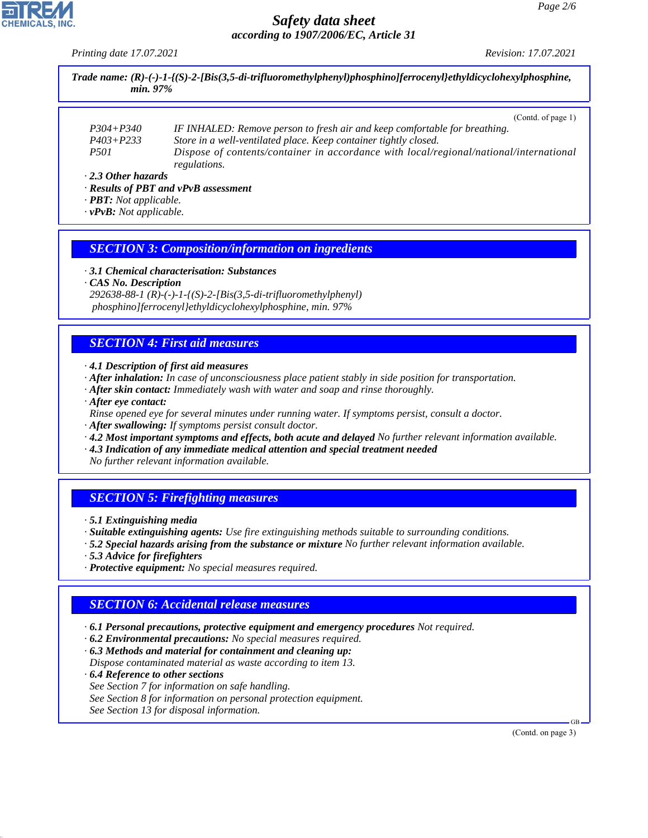*Printing date 17.07.2021 Revision: 17.07.2021*

*Trade name: (R)-(-)-1-{(S)-2-[Bis(3,5-di-trifluoromethylphenyl)phosphino]ferrocenyl}ethyldicyclohexylphosphine, min. 97%*

|                           | (Contd. of page 1)                                                                     |
|---------------------------|----------------------------------------------------------------------------------------|
| $P304 + P340$             | IF INHALED: Remove person to fresh air and keep comfortable for breathing.             |
| $P403 + P233$             | Store in a well-ventilated place. Keep container tightly closed.                       |
| <i>P501</i>               | Dispose of contents/container in accordance with local/regional/national/international |
|                           | regulations.                                                                           |
| $\cdot$ 2.3 Other hazards |                                                                                        |

*· Results of PBT and vPvB assessment*

- *· PBT: Not applicable.*
- *· vPvB: Not applicable.*

#### *SECTION 3: Composition/information on ingredients*

*· 3.1 Chemical characterisation: Substances*

*· CAS No. Description 292638-88-1 (R)-(-)-1-{(S)-2-[Bis(3,5-di-trifluoromethylphenyl) phosphino]ferrocenyl}ethyldicyclohexylphosphine, min. 97%*

#### *SECTION 4: First aid measures*

*· 4.1 Description of first aid measures*

- *· After inhalation: In case of unconsciousness place patient stably in side position for transportation.*
- *· After skin contact: Immediately wash with water and soap and rinse thoroughly.*
- *· After eye contact:*
- *Rinse opened eye for several minutes under running water. If symptoms persist, consult a doctor.*
- *· After swallowing: If symptoms persist consult doctor.*
- *· 4.2 Most important symptoms and effects, both acute and delayed No further relevant information available.*
- *· 4.3 Indication of any immediate medical attention and special treatment needed No further relevant information available.*

# *SECTION 5: Firefighting measures*

*· 5.1 Extinguishing media*

- *· Suitable extinguishing agents: Use fire extinguishing methods suitable to surrounding conditions.*
- *· 5.2 Special hazards arising from the substance or mixture No further relevant information available.*
- *· 5.3 Advice for firefighters*
- *· Protective equipment: No special measures required.*

#### *SECTION 6: Accidental release measures*

- *· 6.1 Personal precautions, protective equipment and emergency procedures Not required.*
- *· 6.2 Environmental precautions: No special measures required.*
- *· 6.3 Methods and material for containment and cleaning up:*
- *Dispose contaminated material as waste according to item 13.*
- *· 6.4 Reference to other sections*

44.1.1

- *See Section 7 for information on safe handling.*
- *See Section 8 for information on personal protection equipment.*
- *See Section 13 for disposal information.*

(Contd. on page 3)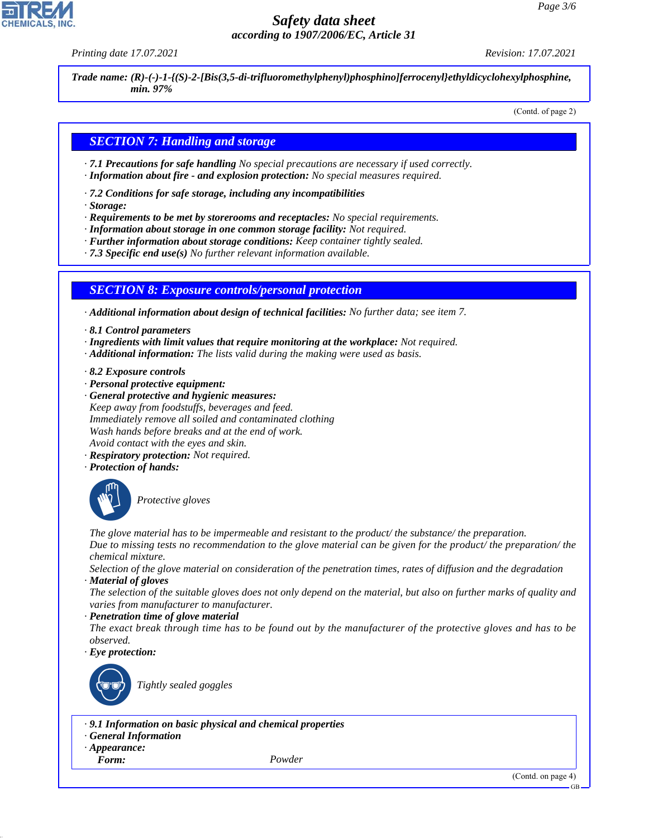*Printing date 17.07.2021 Revision: 17.07.2021*

*Trade name: (R)-(-)-1-{(S)-2-[Bis(3,5-di-trifluoromethylphenyl)phosphino]ferrocenyl}ethyldicyclohexylphosphine, min. 97%*

(Contd. of page 2)

#### *SECTION 7: Handling and storage*

- *· 7.1 Precautions for safe handling No special precautions are necessary if used correctly.*
- *· Information about fire and explosion protection: No special measures required.*
- *· 7.2 Conditions for safe storage, including any incompatibilities*
- *· Storage:*
- *· Requirements to be met by storerooms and receptacles: No special requirements.*
- *· Information about storage in one common storage facility: Not required.*
- *· Further information about storage conditions: Keep container tightly sealed.*
- *· 7.3 Specific end use(s) No further relevant information available.*

#### *SECTION 8: Exposure controls/personal protection*

*· Additional information about design of technical facilities: No further data; see item 7.*

- *· 8.1 Control parameters*
- *· Ingredients with limit values that require monitoring at the workplace: Not required.*
- *· Additional information: The lists valid during the making were used as basis.*
- *· 8.2 Exposure controls*
- *· Personal protective equipment:*
- *· General protective and hygienic measures: Keep away from foodstuffs, beverages and feed. Immediately remove all soiled and contaminated clothing Wash hands before breaks and at the end of work. Avoid contact with the eyes and skin.*
- *· Respiratory protection: Not required.*
- *· Protection of hands:*



\_S*Protective gloves*

*The glove material has to be impermeable and resistant to the product/ the substance/ the preparation. Due to missing tests no recommendation to the glove material can be given for the product/ the preparation/ the chemical mixture.*

*Selection of the glove material on consideration of the penetration times, rates of diffusion and the degradation · Material of gloves*

*The selection of the suitable gloves does not only depend on the material, but also on further marks of quality and varies from manufacturer to manufacturer.*

*· Penetration time of glove material*

*The exact break through time has to be found out by the manufacturer of the protective gloves and has to be observed.*

*· Eye protection:*



\_R*Tightly sealed goggles*

*· 9.1 Information on basic physical and chemical properties*

- *· General Information*
- *· Appearance:*
- 

44.1.1

*Form: Powder*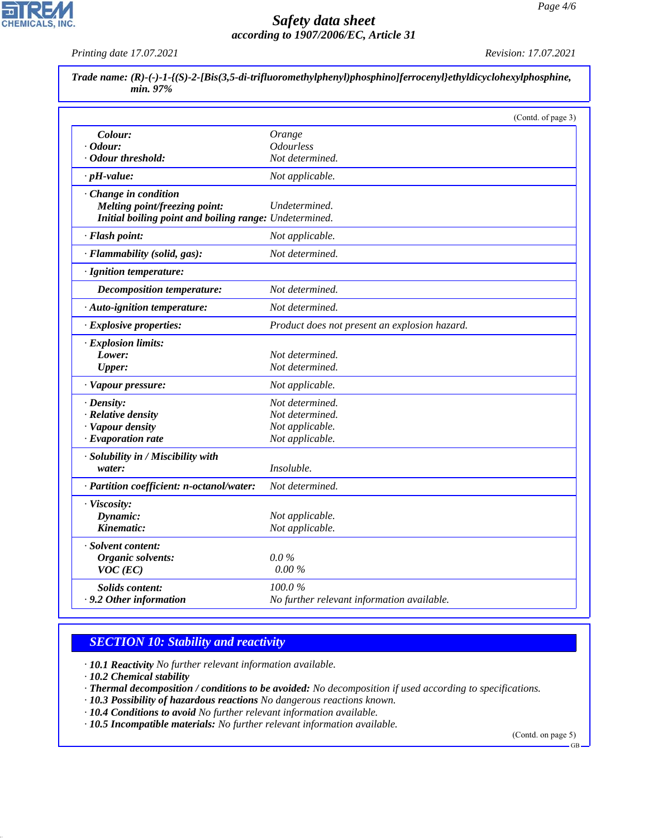*Printing date 17.07.2021 Revision: 17.07.2021*

 $\mathbf{r}$ 

**CHEMICALS, INC.** 

|                                                        | (Contd. of page 3)                            |  |
|--------------------------------------------------------|-----------------------------------------------|--|
| Colour:                                                | Orange                                        |  |
| · Odour:                                               | <b>Odourless</b>                              |  |
| · Odour threshold:                                     | Not determined.                               |  |
| $\cdot$ pH-value:                                      | Not applicable.                               |  |
| Change in condition                                    |                                               |  |
| Melting point/freezing point:                          | Undetermined.                                 |  |
| Initial boiling point and boiling range: Undetermined. |                                               |  |
| · Flash point:                                         | Not applicable.                               |  |
| · Flammability (solid, gas):                           | Not determined.                               |  |
| · Ignition temperature:                                |                                               |  |
| <b>Decomposition temperature:</b>                      | Not determined.                               |  |
| · Auto-ignition temperature:                           | Not determined.                               |  |
| · Explosive properties:                                | Product does not present an explosion hazard. |  |
| · Explosion limits:                                    |                                               |  |
| Lower:                                                 | Not determined.                               |  |
| <b>Upper:</b>                                          | Not determined.                               |  |
| · Vapour pressure:                                     | Not applicable.                               |  |
| · Density:                                             | Not determined.                               |  |
| · Relative density                                     | Not determined.                               |  |
| · Vapour density                                       | Not applicable.                               |  |
| · Evaporation rate                                     | Not applicable.                               |  |
| · Solubility in / Miscibility with                     |                                               |  |
| water:                                                 | <i>Insoluble.</i>                             |  |
| · Partition coefficient: n-octanol/water:              | Not determined.                               |  |
| · Viscosity:                                           |                                               |  |
| Dynamic:                                               | Not applicable.                               |  |
| Kinematic:                                             | Not applicable.                               |  |
| · Solvent content:                                     |                                               |  |
| Organic solvents:                                      | $0.0\%$                                       |  |
| $VOC$ (EC)                                             | $0.00\%$                                      |  |
| <b>Solids content:</b>                                 | 100.0%                                        |  |
| .9.2 Other information                                 | No further relevant information available.    |  |

### *SECTION 10: Stability and reactivity*

*· 10.1 Reactivity No further relevant information available.*

*· 10.2 Chemical stability*

44.1.1

- *· Thermal decomposition / conditions to be avoided: No decomposition if used according to specifications.*
- *· 10.3 Possibility of hazardous reactions No dangerous reactions known.*
- *· 10.4 Conditions to avoid No further relevant information available.*
- *· 10.5 Incompatible materials: No further relevant information available.*

(Contd. on page 5)

GB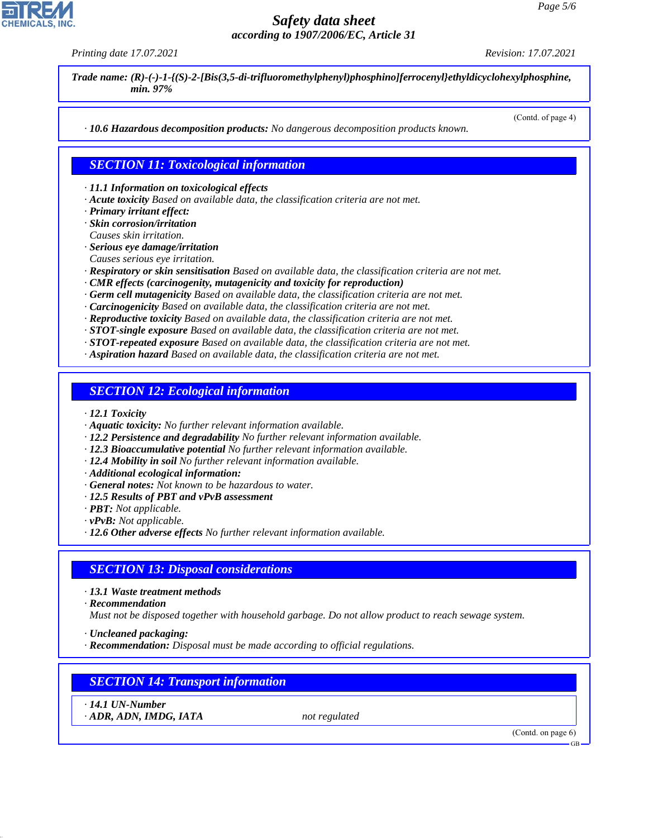*Printing date 17.07.2021 Revision: 17.07.2021*

(Contd. of page 4)

*Trade name: (R)-(-)-1-{(S)-2-[Bis(3,5-di-trifluoromethylphenyl)phosphino]ferrocenyl}ethyldicyclohexylphosphine, min. 97%*

*· 10.6 Hazardous decomposition products: No dangerous decomposition products known.*

*· 11.1 Information on toxicological effects*

*SECTION 11: Toxicological information*

*· Acute toxicity Based on available data, the classification criteria are not met.*

*· Primary irritant effect:*

*· Skin corrosion/irritation*

- *Causes skin irritation. · Serious eye damage/irritation*
- *Causes serious eye irritation.*
- *· Respiratory or skin sensitisation Based on available data, the classification criteria are not met.*
- *· CMR effects (carcinogenity, mutagenicity and toxicity for reproduction)*
- *· Germ cell mutagenicity Based on available data, the classification criteria are not met.*
- *· Carcinogenicity Based on available data, the classification criteria are not met.*
- *· Reproductive toxicity Based on available data, the classification criteria are not met.*
- *· STOT-single exposure Based on available data, the classification criteria are not met.*
- *· STOT-repeated exposure Based on available data, the classification criteria are not met.*
- *· Aspiration hazard Based on available data, the classification criteria are not met.*

*SECTION 12: Ecological information*

- *· 12.1 Toxicity*
- *· Aquatic toxicity: No further relevant information available.*
- *· 12.2 Persistence and degradability No further relevant information available.*
- *· 12.3 Bioaccumulative potential No further relevant information available.*
- *· 12.4 Mobility in soil No further relevant information available.*
- *· Additional ecological information:*
- *· General notes: Not known to be hazardous to water.*
- *· 12.5 Results of PBT and vPvB assessment*
- *· PBT: Not applicable.*
- *· vPvB: Not applicable.*
- *· 12.6 Other adverse effects No further relevant information available.*

#### *SECTION 13: Disposal considerations*

- *· 13.1 Waste treatment methods*
- *· Recommendation*

*Must not be disposed together with household garbage. Do not allow product to reach sewage system.*

*· Uncleaned packaging:*

*· Recommendation: Disposal must be made according to official regulations.*

#### *SECTION 14: Transport information*

*· 14.1 UN-Number · ADR, ADN, IMDG, IATA not regulated*

44.1.1

(Contd. on page 6)